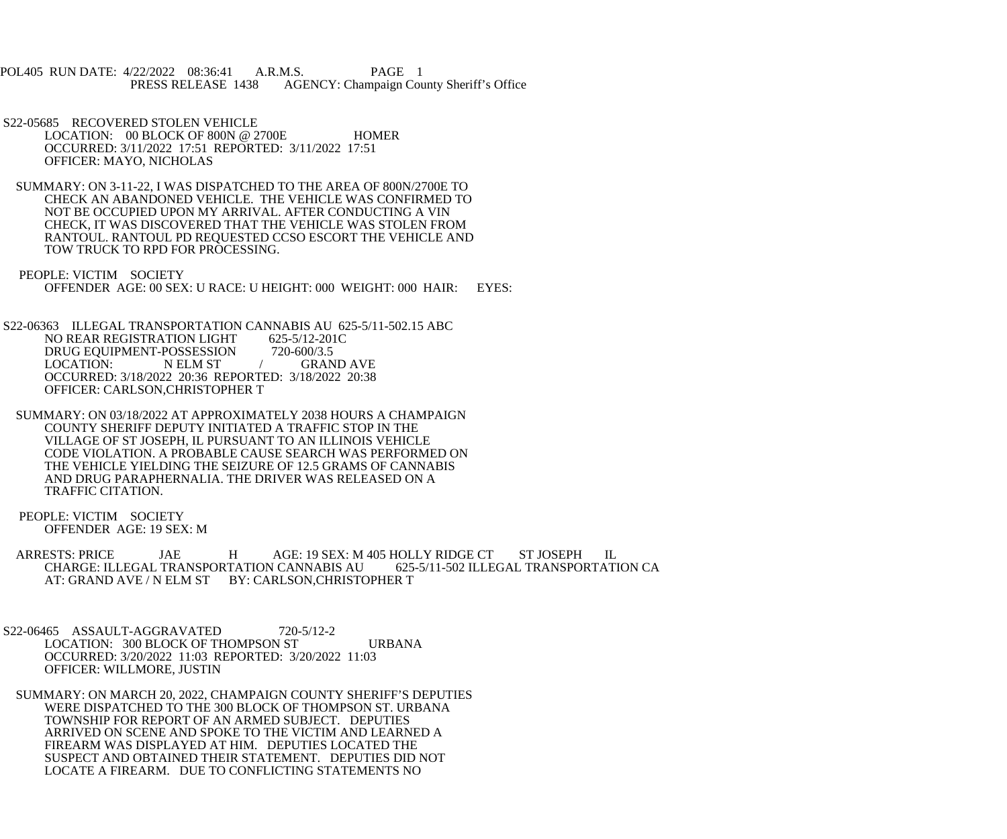POL405 RUN DATE: 4/22/2022 08:36:41 A.R.M.S. PAGE 1<br>PRESS RELEASE 1438 AGENCY: Champaign Cou AGENCY: Champaign County Sheriff's Office

 S22-05685 RECOVERED STOLEN VEHICLE LOCATION: 00 BLOCK OF 800N @ 2700E HOMER OCCURRED: 3/11/2022 17:51 REPORTED: 3/11/2022 17:51 OFFICER: MAYO, NICHOLAS

 SUMMARY: ON 3-11-22, I WAS DISPATCHED TO THE AREA OF 800N/2700E TO CHECK AN ABANDONED VEHICLE. THE VEHICLE WAS CONFIRMED TO NOT BE OCCUPIED UPON MY ARRIVAL. AFTER CONDUCTING A VIN CHECK, IT WAS DISCOVERED THAT THE VEHICLE WAS STOLEN FROM RANTOUL. RANTOUL PD REQUESTED CCSO ESCORT THE VEHICLE AND TOW TRUCK TO RPD FOR PROCESSING.

 PEOPLE: VICTIM SOCIETY OFFENDER AGE: 00 SEX: U RACE: U HEIGHT: 000 WEIGHT: 000 HAIR: EYES:

S22-06363 ILLEGAL TRANSPORTATION CANNABIS AU 625-5/11-502.15 ABC<br>NO REAR REGISTRATION LIGHT 625-5/12-201C NO REAR REGISTRATION LIGHT 625-5/12-201<br>DRUG EOUIPMENT-POSSESSION 720-600/3.5 DRUG EQUIPMENT-POSSESSION<br>LOCATION: NELM ST N ELM ST / GRAND AVE OCCURRED: 3/18/2022 20:36 REPORTED: 3/18/2022 20:38 OFFICER: CARLSON,CHRISTOPHER T

 SUMMARY: ON 03/18/2022 AT APPROXIMATELY 2038 HOURS A CHAMPAIGN COUNTY SHERIFF DEPUTY INITIATED A TRAFFIC STOP IN THE VILLAGE OF ST JOSEPH, IL PURSUANT TO AN ILLINOIS VEHICLE CODE VIOLATION. A PROBABLE CAUSE SEARCH WAS PERFORMED ON THE VEHICLE YIELDING THE SEIZURE OF 12.5 GRAMS OF CANNABIS AND DRUG PARAPHERNALIA. THE DRIVER WAS RELEASED ON A TRAFFIC CITATION.

 PEOPLE: VICTIM SOCIETY OFFENDER AGE: 19 SEX: M

ARRESTS: PRICE JAE HAGE: 19 SEX: M 405 HOLLY RIDGE CT ST JOSEPH IL<br>CHARGE: ILLEGAL TRANSPORTATION CANNABIS AU 625-5/11-502 ILLEGAL TRANSPORTATION CA CHARGE: ILLEGAL TRANSPORTATION CANNABIS AU AT: GRAND AVE / N ELM ST BY: CARLSON, CHRISTOPHER T

 S22-06465 ASSAULT-AGGRAVATED 720-5/12-2 LOCATION: 300 BLOCK OF THOMPSON ST URBANA OCCURRED: 3/20/2022 11:03 REPORTED: 3/20/2022 11:03 OFFICER: WILLMORE, JUSTIN

 SUMMARY: ON MARCH 20, 2022, CHAMPAIGN COUNTY SHERIFF'S DEPUTIES WERE DISPATCHED TO THE 300 BLOCK OF THOMPSON ST. URBANA TOWNSHIP FOR REPORT OF AN ARMED SUBJECT. DEPUTIES ARRIVED ON SCENE AND SPOKE TO THE VICTIM AND LEARNED A FIREARM WAS DISPLAYED AT HIM. DEPUTIES LOCATED THE SUSPECT AND OBTAINED THEIR STATEMENT. DEPUTIES DID NOT LOCATE A FIREARM. DUE TO CONFLICTING STATEMENTS NO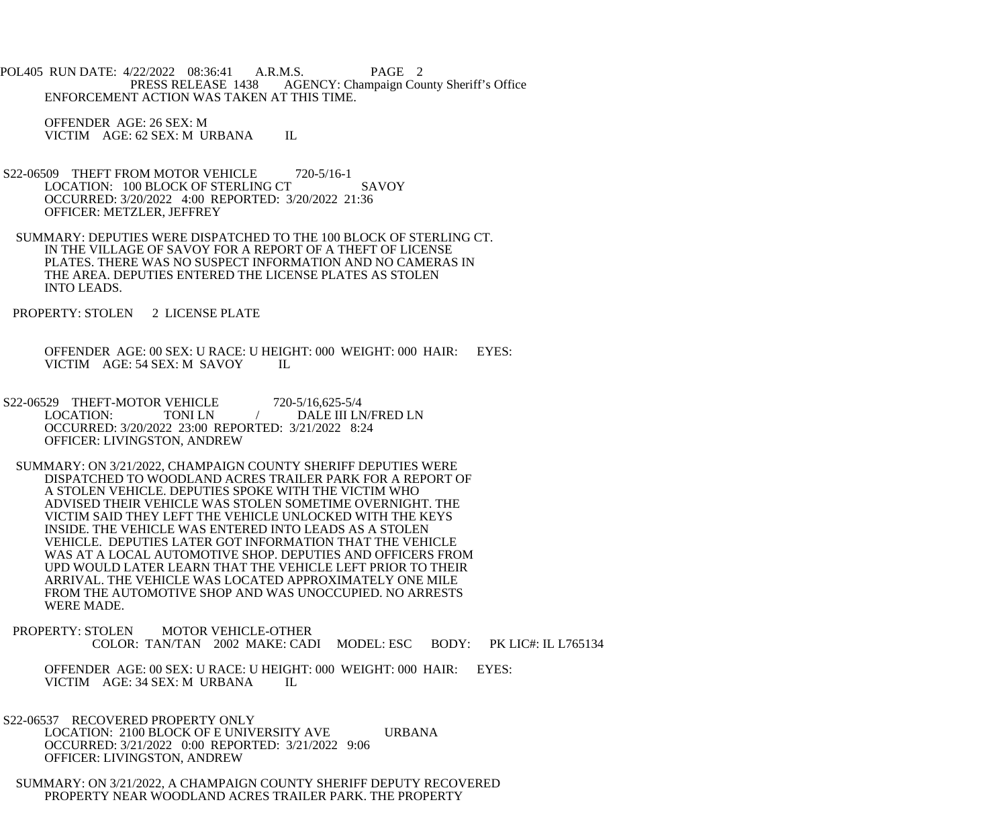POL405 RUN DATE: 4/22/2022 08:36:41 A.R.M.S. PAGE 2 PRESS RELEASE 1438 AGENCY: Champaign County Sheriff's Office ENFORCEMENT ACTION WAS TAKEN AT THIS TIME.

 OFFENDER AGE: 26 SEX: M VICTIM AGE: 62 SEX: M URBANA IL

- S22-06509 THEFT FROM MOTOR VEHICLE 720-5/16-1 LOCATION: 100 BLOCK OF STERLING CT SAVOY OCCURRED: 3/20/2022 4:00 REPORTED: 3/20/2022 21:36 OFFICER: METZLER, JEFFREY
- SUMMARY: DEPUTIES WERE DISPATCHED TO THE 100 BLOCK OF STERLING CT. IN THE VILLAGE OF SAVOY FOR A REPORT OF A THEFT OF LICENSE PLATES. THERE WAS NO SUSPECT INFORMATION AND NO CAMERAS IN THE AREA. DEPUTIES ENTERED THE LICENSE PLATES AS STOLEN INTO LEADS.
- PROPERTY: STOLEN 2 LICENSE PLATE
	- OFFENDER AGE: 00 SEX: U RACE: U HEIGHT: 000 WEIGHT: 000 HAIR: EYES: VICTIM AGE: 54 SEX: M SAVOY IL
- S22-06529 THEFT-MOTOR VEHICLE 720-5/16,625-5/4<br>LOCATION: TONI LN / DALE III LN TONI LN  $/$  DALE III LN/FRED LN OCCURRED: 3/20/2022 23:00 REPORTED: 3/21/2022 8:24 OFFICER: LIVINGSTON, ANDREW
- SUMMARY: ON 3/21/2022, CHAMPAIGN COUNTY SHERIFF DEPUTIES WERE DISPATCHED TO WOODLAND ACRES TRAILER PARK FOR A REPORT OF A STOLEN VEHICLE. DEPUTIES SPOKE WITH THE VICTIM WHO ADVISED THEIR VEHICLE WAS STOLEN SOMETIME OVERNIGHT. THE VICTIM SAID THEY LEFT THE VEHICLE UNLOCKED WITH THE KEYS INSIDE. THE VEHICLE WAS ENTERED INTO LEADS AS A STOLEN VEHICLE. DEPUTIES LATER GOT INFORMATION THAT THE VEHICLE WAS AT A LOCAL AUTOMOTIVE SHOP. DEPUTIES AND OFFICERS FROM UPD WOULD LATER LEARN THAT THE VEHICLE LEFT PRIOR TO THEIR ARRIVAL. THE VEHICLE WAS LOCATED APPROXIMATELY ONE MILE FROM THE AUTOMOTIVE SHOP AND WAS UNOCCUPIED. NO ARRESTS WERE MADE.
- PROPERTY: STOLEN MOTOR VEHICLE-OTHER COLOR: TAN/TAN 2002 MAKE: CADI MODEL: ESC BODY: PK LIC#: IL L765134
	- OFFENDER AGE: 00 SEX: U RACE: U HEIGHT: 000 WEIGHT: 000 HAIR: EYES: VICTIM AGE: 34 SEX: M URBANA IL
- S22-06537 RECOVERED PROPERTY ONLY LOCATION: 2100 BLOCK OF E UNIVERSITY AVE URBANA OCCURRED: 3/21/2022 0:00 REPORTED: 3/21/2022 9:06 OFFICER: LIVINGSTON, ANDREW
- SUMMARY: ON 3/21/2022, A CHAMPAIGN COUNTY SHERIFF DEPUTY RECOVERED PROPERTY NEAR WOODLAND ACRES TRAILER PARK. THE PROPERTY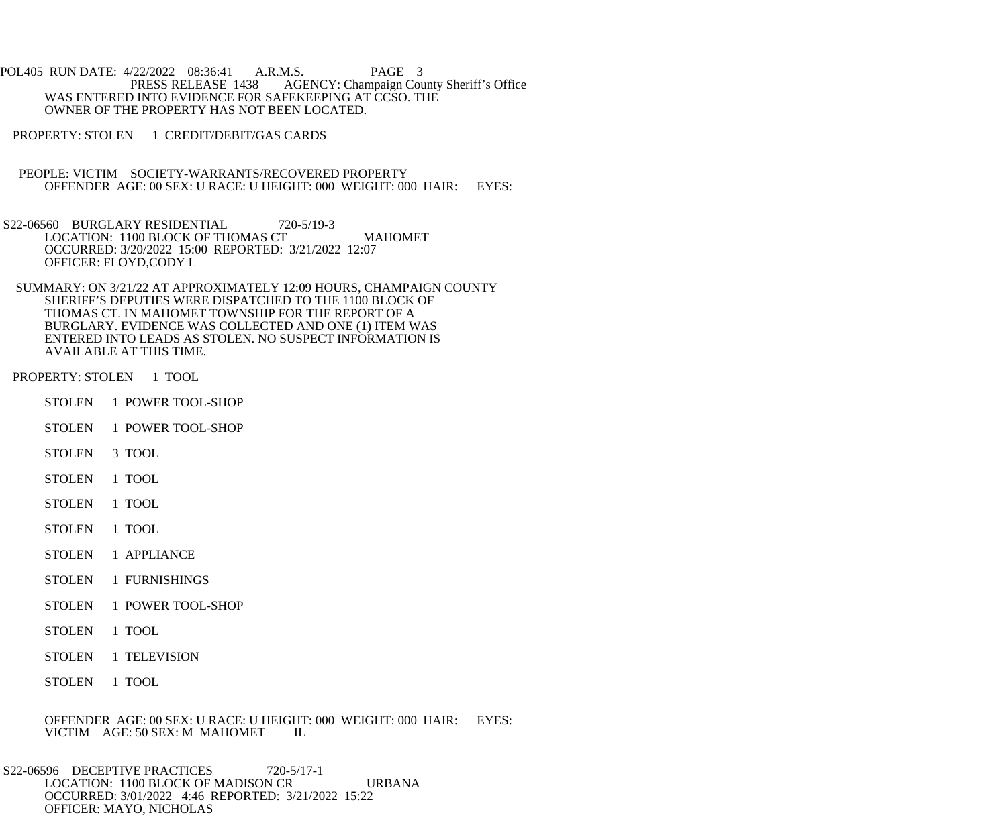POL405 RUN DATE: 4/22/2022 08:36:41 A.R.M.S. PAGE 3<br>PRESS RELEASE 1438 AGENCY: Champaign Cou AGENCY: Champaign County Sheriff's Office WAS ENTERED INTO EVIDENCE FOR SAFEKEEPING AT CCSO. THE OWNER OF THE PROPERTY HAS NOT BEEN LOCATED.

PROPERTY: STOLEN 1 CREDIT/DEBIT/GAS CARDS

 PEOPLE: VICTIM SOCIETY-WARRANTS/RECOVERED PROPERTY OFFENDER AGE: 00 SEX: U RACE: U HEIGHT: 000 WEIGHT: 000 HAIR: EYES:

S22-06560 BURGLARY RESIDENTIAL 720-5/19-3 LOCATION: 1100 BLOCK OF THOMAS CT MAHOMET OCCURRED: 3/20/2022 15:00 REPORTED: 3/21/2022 12:07 OFFICER: FLOYD,CODY L

 SUMMARY: ON 3/21/22 AT APPROXIMATELY 12:09 HOURS, CHAMPAIGN COUNTY SHERIFF'S DEPUTIES WERE DISPATCHED TO THE 1100 BLOCK OF THOMAS CT. IN MAHOMET TOWNSHIP FOR THE REPORT OF A BURGLARY. EVIDENCE WAS COLLECTED AND ONE (1) ITEM WAS ENTERED INTO LEADS AS STOLEN. NO SUSPECT INFORMATION IS AVAILABLE AT THIS TIME.

PROPERTY: STOLEN 1 TOOL

- STOLEN 1 POWER TOOL-SHOP
- STOLEN 1 POWER TOOL-SHOP
- STOLEN 3 TOOL
- STOLEN 1 TOOL
- STOLEN 1 TOOL
- STOLEN 1 TOOL
- STOLEN 1 APPLIANCE
- STOLEN 1 FURNISHINGS
- STOLEN 1 POWER TOOL-SHOP
- STOLEN 1 TOOL
- STOLEN 1 TELEVISION
- STOLEN 1 TOOL

OFFENDER AGE: 00 SEX: U RACE: U HEIGHT: 000 WEIGHT: 000 HAIR: EYES: VICTIM AGE: 50 SEX: M MAHOMET IL VICTIM AGE: 50 SEX: M MAHOMET

S22-06596 DECEPTIVE PRACTICES 720-5/17-1 LOCATION: 1100 BLOCK OF MADISON CR URBANA OCCURRED: 3/01/2022 4:46 REPORTED: 3/21/2022 15:22 OFFICER: MAYO, NICHOLAS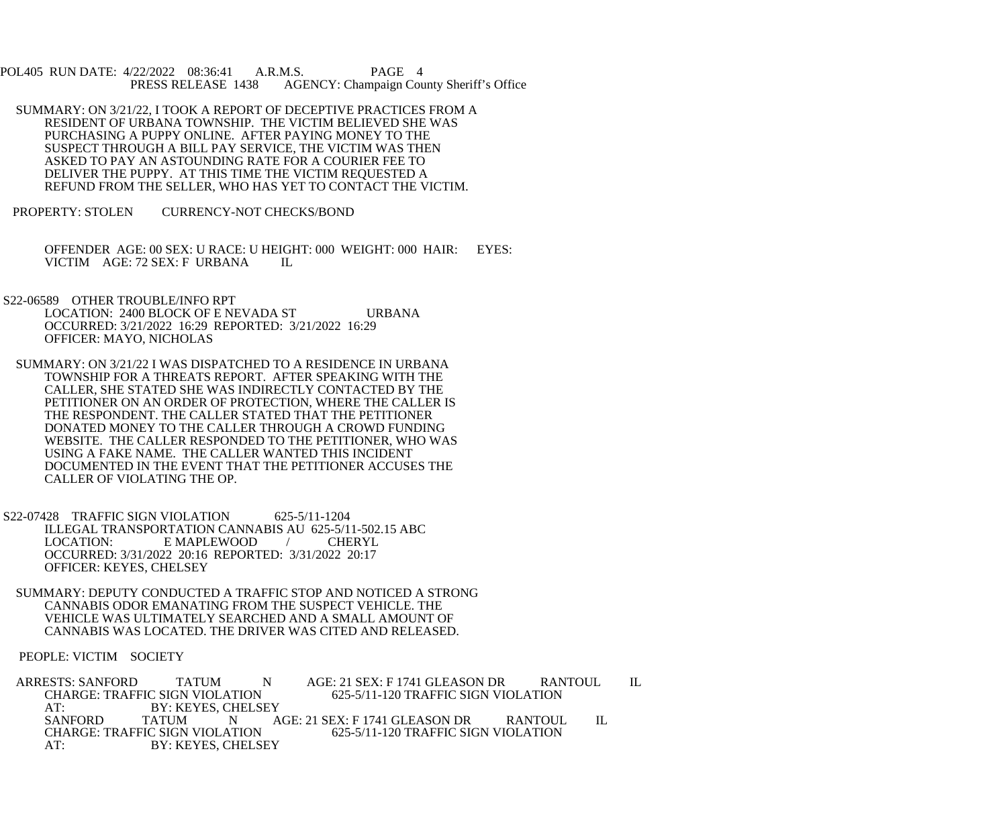POL405 RUN DATE: 4/22/2022 08:36:41 A.R.M.S. PAGE 4<br>PRESS RELEASE 1438 AGENCY: Champaign Cou AGENCY: Champaign County Sheriff's Office

- SUMMARY: ON 3/21/22, I TOOK A REPORT OF DECEPTIVE PRACTICES FROM A RESIDENT OF URBANA TOWNSHIP. THE VICTIM BELIEVED SHE WAS PURCHASING A PUPPY ONLINE. AFTER PAYING MONEY TO THE SUSPECT THROUGH A BILL PAY SERVICE, THE VICTIM WAS THEN ASKED TO PAY AN ASTOUNDING RATE FOR A COURIER FEE TO DELIVER THE PUPPY. AT THIS TIME THE VICTIM REQUESTED A REFUND FROM THE SELLER, WHO HAS YET TO CONTACT THE VICTIM.
- PROPERTY: STOLEN CURRENCY-NOT CHECKS/BOND
	- OFFENDER AGE: 00 SEX: U RACE: U HEIGHT: 000 WEIGHT: 000 HAIR: EYES: VICTIM AGE: 72 SEX: F URBANA IL
- S22-06589 OTHER TROUBLE/INFO RPT LOCATION: 2400 BLOCK OF E NEVADA ST URBANA OCCURRED: 3/21/2022 16:29 REPORTED: 3/21/2022 16:29 OFFICER: MAYO, NICHOLAS
- SUMMARY: ON 3/21/22 I WAS DISPATCHED TO A RESIDENCE IN URBANA TOWNSHIP FOR A THREATS REPORT. AFTER SPEAKING WITH THE CALLER, SHE STATED SHE WAS INDIRECTLY CONTACTED BY THE PETITIONER ON AN ORDER OF PROTECTION, WHERE THE CALLER IS THE RESPONDENT. THE CALLER STATED THAT THE PETITIONER DONATED MONEY TO THE CALLER THROUGH A CROWD FUNDING WEBSITE. THE CALLER RESPONDED TO THE PETITIONER, WHO WAS USING A FAKE NAME. THE CALLER WANTED THIS INCIDENT DOCUMENTED IN THE EVENT THAT THE PETITIONER ACCUSES THE CALLER OF VIOLATING THE OP.
- S22-07428 TRAFFIC SIGN VIOLATION 625-5/11-1204 ILLEGAL TRANSPORTATION CANNABIS AU 625-5/11-502.15 ABC<br>LOCATION: E MAPLEWOOD / CHERYL E MAPLEWOOD / OCCURRED: 3/31/2022 20:16 REPORTED: 3/31/2022 20:17 OFFICER: KEYES, CHELSEY
- SUMMARY: DEPUTY CONDUCTED A TRAFFIC STOP AND NOTICED A STRONG CANNABIS ODOR EMANATING FROM THE SUSPECT VEHICLE. THE VEHICLE WAS ULTIMATELY SEARCHED AND A SMALL AMOUNT OF CANNABIS WAS LOCATED. THE DRIVER WAS CITED AND RELEASED.

PEOPLE: VICTIM SOCIETY

ARRESTS: SANFORD TATUM N AGE: 21 SEX: F 1741 GLEASON DR RANTOUL IL<br>CHARGE: TRAFFIC SIGN VIOLATION 625-5/11-120 TRAFFIC SIGN VIOLATION CHARGE: TRAFFIC SIGN VIOLATION AT: BY: KEYES, CHELSEY<br>SANFORD TATUM N A SANFORD TATUM N AGE: 21 SEX: F 1741 GLEASON DR RANTOUL IL CHARGE: TRAFFIC SIGN VIOLATION 625-5/11-120 TRAFFIC SIGN VIOLATION CHARGE: TRAFFIC SIGN VIOLATION 625-5/11-120 TRAFFIC SIGN VIOLATION AT: BY: KEYES, CHELSEY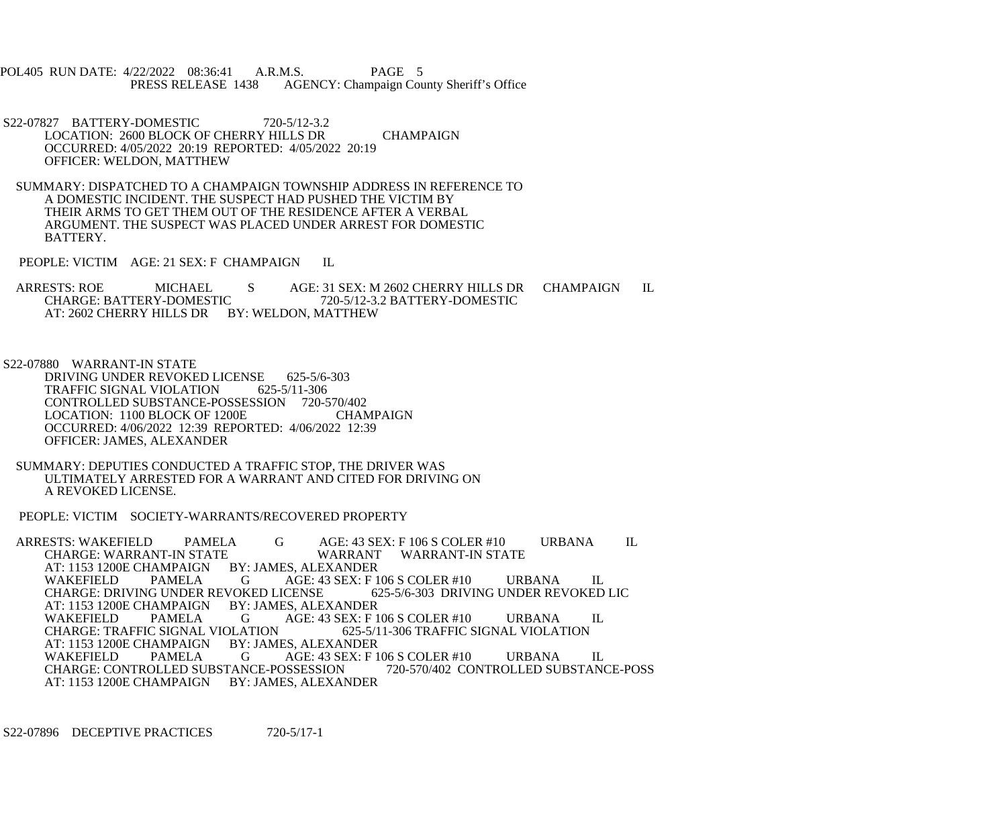POL405 RUN DATE: 4/22/2022 08:36:41 A.R.M.S. PAGE 5<br>PRESS RELEASE 1438 AGENCY: Champaign Cou AGENCY: Champaign County Sheriff's Office

 S22-07827 BATTERY-DOMESTIC 720-5/12-3.2 LOCATION: 2600 BLOCK OF CHERRY HILLS DR CHAMPAIGN OCCURRED: 4/05/2022 20:19 REPORTED: 4/05/2022 20:19 OFFICER: WELDON, MATTHEW

 SUMMARY: DISPATCHED TO A CHAMPAIGN TOWNSHIP ADDRESS IN REFERENCE TO A DOMESTIC INCIDENT. THE SUSPECT HAD PUSHED THE VICTIM BY THEIR ARMS TO GET THEM OUT OF THE RESIDENCE AFTER A VERBAL ARGUMENT. THE SUSPECT WAS PLACED UNDER ARREST FOR DOMESTIC BATTERY.

PEOPLE: VICTIM AGE: 21 SEX: F CHAMPAIGN IL

ARRESTS: ROE MICHAEL S AGE: 31 SEX: M 2602 CHERRY HILLS DR CHAMPAIGN IL CHARGE: BATTERY-DOMESTIC 720-5/12-3.2 BATTERY-DOMESTIC CHARGE: BATTERY-DOMESTIC 720-5/12-3.2 BATTERY-DOMESTIC AT: 2602 CHERRY HILLS DR BY: WELDON, MATTHEW

S22-07880 WARRANT-IN STATE

DRIVING UNDER REVOKED LICENSE 625-5/6-303<br>TRAFFIC SIGNAL VIOLATION 625-5/11-306 TRAFFIC SIGNAL VIOLATION CONTROLLED SUBSTANCE-POSSESSION 720-570/402 LOCATION: 1100 BLOCK OF 1200E CHAMPAIGN OCCURRED: 4/06/2022 12:39 REPORTED: 4/06/2022 12:39 OFFICER: JAMES, ALEXANDER

 SUMMARY: DEPUTIES CONDUCTED A TRAFFIC STOP, THE DRIVER WAS ULTIMATELY ARRESTED FOR A WARRANT AND CITED FOR DRIVING ON A REVOKED LICENSE.

PEOPLE: VICTIM SOCIETY-WARRANTS/RECOVERED PROPERTY

ARRESTS: WAKEFIELD PAMELA G AGE: 43 SEX: F 106 S COLER #10 URBANA IL<br>CHARGE: WARRANT-IN STATE WARRANT WARRANT-IN STATE CHARGE: WARRANT-IN STATE WARRANT<br>AT: 1153 1200E CHAMPAIGN BY: JAMES, ALEXANDER AT: 1153 1200E CHAMPAIGN BY: JAMES, ALEXANDER PAMELA G AGE: 43 SEX: F 106 S COLER #10 URBANA IL<br>G UNDER REVOKED LICENSE 625-5/6-303 DRIVING UNDER REVOKED LIC CHARGE: DRIVING UNDER REVOKED LICENSE 62<br>AT: 1153 1200E CHAMPAIGN BY: JAMES, ALEXANDER AT: 1153 1200E CHAMPAIGN BY: JAMES, ALEXANDER WAKEFIELD PAMELA G AGE: 43 SEX: F 106 S COLER #10 URBANA IL<br>CHARGE: TRAFFIC SIGNAL VIOLATION 625-5/11-306 TRAFFIC SIGNAL VIOLATION CHARGE: TRAFFIC SIGNAL VIOLATION 625-5/11-306 TRAFFIC SIGNAL VIOLATION AT: 1153 1200E CHAMPAIGN BY: JAMES, ALEXANDER WAKEFIELD PAMELA G AGE: 43 SEX: F 106 S COLER #10 URBANA IL<br>CHARGE: CONTROLLED SUBSTANCE-POSSESSION 720-570/402 CONTROLLED SUBSTANCE-POSS CHARGE: CONTROLLED SUBSTANCE-POSSESSION AT: 1153 1200E CHAMPAIGN BY: JAMES, ALEXANDER

S22-07896 DECEPTIVE PRACTICES 720-5/17-1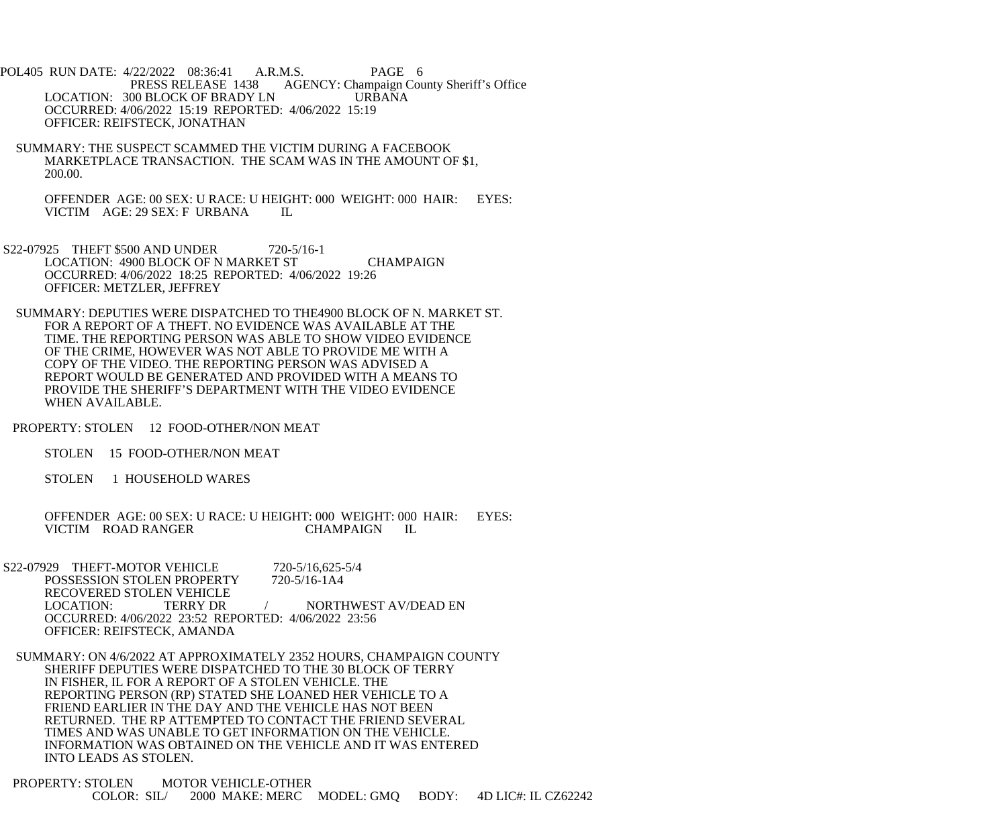POL405 RUN DATE: 4/22/2022 08:36:41 A.R.M.S. PAGE 6<br>PRESS RELEASE 1438 AGENCY: Champaign Cou AGENCY: Champaign County Sheriff's Office LOCATION: 300 BLOCK OF BRADY LN URBANA OCCURRED: 4/06/2022 15:19 REPORTED: 4/06/2022 15:19 OFFICER: REIFSTECK, JONATHAN

 SUMMARY: THE SUSPECT SCAMMED THE VICTIM DURING A FACEBOOK MARKETPLACE TRANSACTION. THE SCAM WAS IN THE AMOUNT OF \$1, 200.00.

OFFENDER AGE: 00 SEX: U RACE: U HEIGHT: 000 WEIGHT: 000 HAIR: EYES: VICTIM AGE: 29 SEX: F URBANA VICTIM AGE: 29 SEX: F URBANA

- S22-07925 THEFT \$500 AND UNDER 720-5/16-1 LOCATION: 4900 BLOCK OF N MARKET ST CHAMPAIGN OCCURRED: 4/06/2022 18:25 REPORTED: 4/06/2022 19:26 OFFICER: METZLER, JEFFREY
- SUMMARY: DEPUTIES WERE DISPATCHED TO THE4900 BLOCK OF N. MARKET ST. FOR A REPORT OF A THEFT. NO EVIDENCE WAS AVAILABLE AT THE TIME. THE REPORTING PERSON WAS ABLE TO SHOW VIDEO EVIDENCE OF THE CRIME, HOWEVER WAS NOT ABLE TO PROVIDE ME WITH A COPY OF THE VIDEO. THE REPORTING PERSON WAS ADVISED A REPORT WOULD BE GENERATED AND PROVIDED WITH A MEANS TO PROVIDE THE SHERIFF'S DEPARTMENT WITH THE VIDEO EVIDENCE WHEN AVAILABLE.
- PROPERTY: STOLEN 12 FOOD-OTHER/NON MEAT
	- STOLEN 15 FOOD-OTHER/NON MEAT
	- STOLEN 1 HOUSEHOLD WARES

OFFENDER AGE: 00 SEX: U RACE: U HEIGHT: 000 WEIGHT: 000 HAIR: EYES:<br>VICTIM ROAD RANGER CHAMPAIGN IL VICTIM ROAD RANGER

- S22-07929 THEFT-MOTOR VEHICLE 720-5/16,625-5/4<br>POSSESSION STOLEN PROPERTY 720-5/16-1A4 POSSESSION STOLEN PROPERTY RECOVERED STOLEN VEHICLE<br>LOCATION: TERRY DR TERRY DR / NORTHWEST AV/DEAD EN OCCURRED: 4/06/2022 23:52 REPORTED: 4/06/2022 23:56 OFFICER: REIFSTECK, AMANDA
- SUMMARY: ON 4/6/2022 AT APPROXIMATELY 2352 HOURS, CHAMPAIGN COUNTY SHERIFF DEPUTIES WERE DISPATCHED TO THE 30 BLOCK OF TERRY IN FISHER, IL FOR A REPORT OF A STOLEN VEHICLE. THE REPORTING PERSON (RP) STATED SHE LOANED HER VEHICLE TO A FRIEND EARLIER IN THE DAY AND THE VEHICLE HAS NOT BEEN RETURNED. THE RP ATTEMPTED TO CONTACT THE FRIEND SEVERAL TIMES AND WAS UNABLE TO GET INFORMATION ON THE VEHICLE. INFORMATION WAS OBTAINED ON THE VEHICLE AND IT WAS ENTERED INTO LEADS AS STOLEN.
- PROPERTY: STOLEN MOTOR VEHICLE-OTHER COLOR: SIL/ 2000 MAKE: MERC MODEL: GMQ BODY: 4D LIC#: IL CZ62242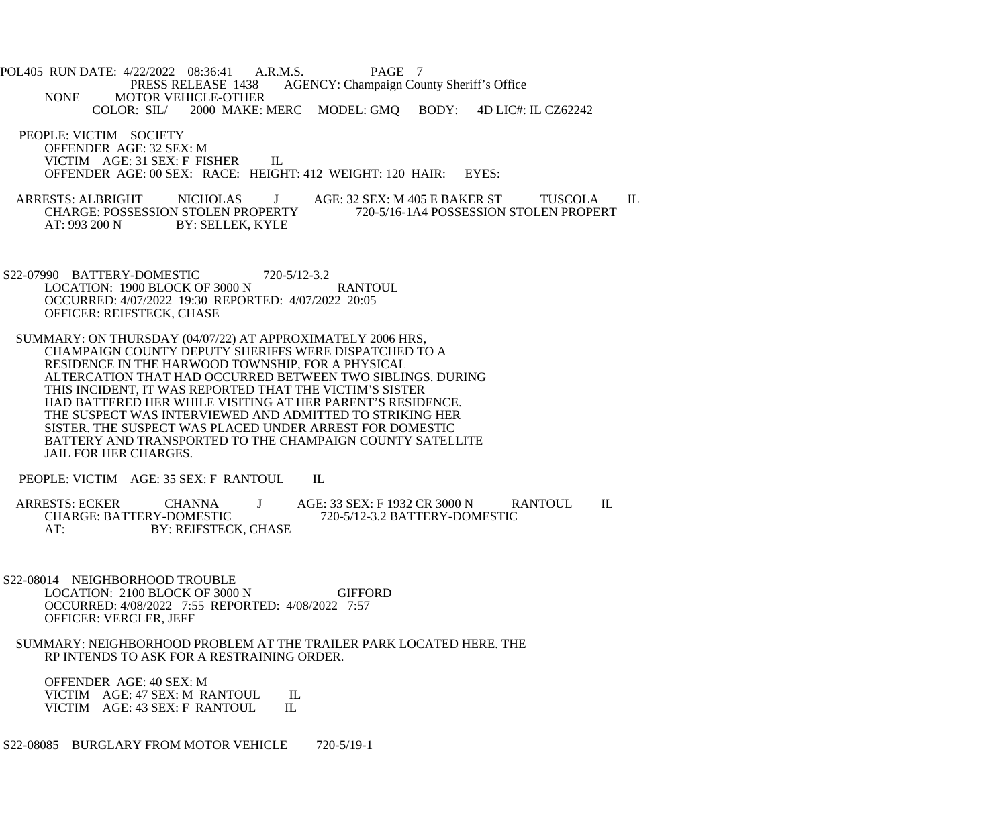POL405 RUN DATE: 4/22/2022 08:36:41 A.R.M.S. PAGE 7<br>PRESS RELEASE 1438 AGENCY: Champaign Cou AGENCY: Champaign County Sheriff's Office NONE MOTOR VEHICLE-OTHER<br>COLOR: SIL/ 2000 MAKE: 2000 MAKE: MERC MODEL: GMQ BODY: 4D LIC#: IL CZ62242

 PEOPLE: VICTIM SOCIETY OFFENDER AGE: 32 SEX: M VICTIM AGE: 31 SEX: F FISHER IL OFFENDER AGE: 00 SEX: RACE: HEIGHT: 412 WEIGHT: 120 HAIR: EYES:

ARRESTS: ALBRIGHT NICHOLAS J AGE: 32 SEX: M 405 E BAKER ST TUSCOLA IL<br>CHARGE: POSSESSION STOLEN PROPERTY 720-5/16-1A4 POSSESSION STOLEN PROPERT CHARGE: POSSESSION STOLEN PROPERTY 720-5/16-1A4 POSSESSION STOLEN PROPERT AT: 993 200 N BY: SELLEK, KYLE BY: SELLEK, KYLE

 S22-07990 BATTERY-DOMESTIC 720-5/12-3.2 LOCATION: 1900 BLOCK OF 3000 N RANTOUL OCCURRED: 4/07/2022 19:30 REPORTED: 4/07/2022 20:05 OFFICER: REIFSTECK, CHASE

 SUMMARY: ON THURSDAY (04/07/22) AT APPROXIMATELY 2006 HRS, CHAMPAIGN COUNTY DEPUTY SHERIFFS WERE DISPATCHED TO A RESIDENCE IN THE HARWOOD TOWNSHIP, FOR A PHYSICAL ALTERCATION THAT HAD OCCURRED BETWEEN TWO SIBLINGS. DURING THIS INCIDENT, IT WAS REPORTED THAT THE VICTIM'S SISTER HAD BATTERED HER WHILE VISITING AT HER PARENT'S RESIDENCE. THE SUSPECT WAS INTERVIEWED AND ADMITTED TO STRIKING HER SISTER. THE SUSPECT WAS PLACED UNDER ARREST FOR DOMESTIC BATTERY AND TRANSPORTED TO THE CHAMPAIGN COUNTY SATELLITE JAIL FOR HER CHARGES.

PEOPLE: VICTIM AGE: 35 SEX: F RANTOUL IL

ARRESTS: ECKER CHANNA J AGE: 33 SEX: F 1932 CR 3000 N RANTOUL IL CHARGE: BATTERY-DOMESTIC 720-5/12-3.2 BATTERY-DOMESTIC CHARGE: BATTERY-DOMESTIC 720-5/12-3.2 BATTERY-DOMESTIC<br>AT: BY: REIFSTECK. CHASE BY: REIFSTECK, CHASE

 S22-08014 NEIGHBORHOOD TROUBLE LOCATION: 2100 BLOCK OF 3000 N GIFFORD OCCURRED: 4/08/2022 7:55 REPORTED: 4/08/2022 7:57 OFFICER: VERCLER, JEFF

 SUMMARY: NEIGHBORHOOD PROBLEM AT THE TRAILER PARK LOCATED HERE. THE RP INTENDS TO ASK FOR A RESTRAINING ORDER.

 OFFENDER AGE: 40 SEX: M VICTIM AGE: 47 SEX: M RANTOUL IL<br>VICTIM AGE: 43 SEX: F RANTOUL IL VICTIM AGE: 43 SEX: F RANTOUL

S22-08085 BURGLARY FROM MOTOR VEHICLE 720-5/19-1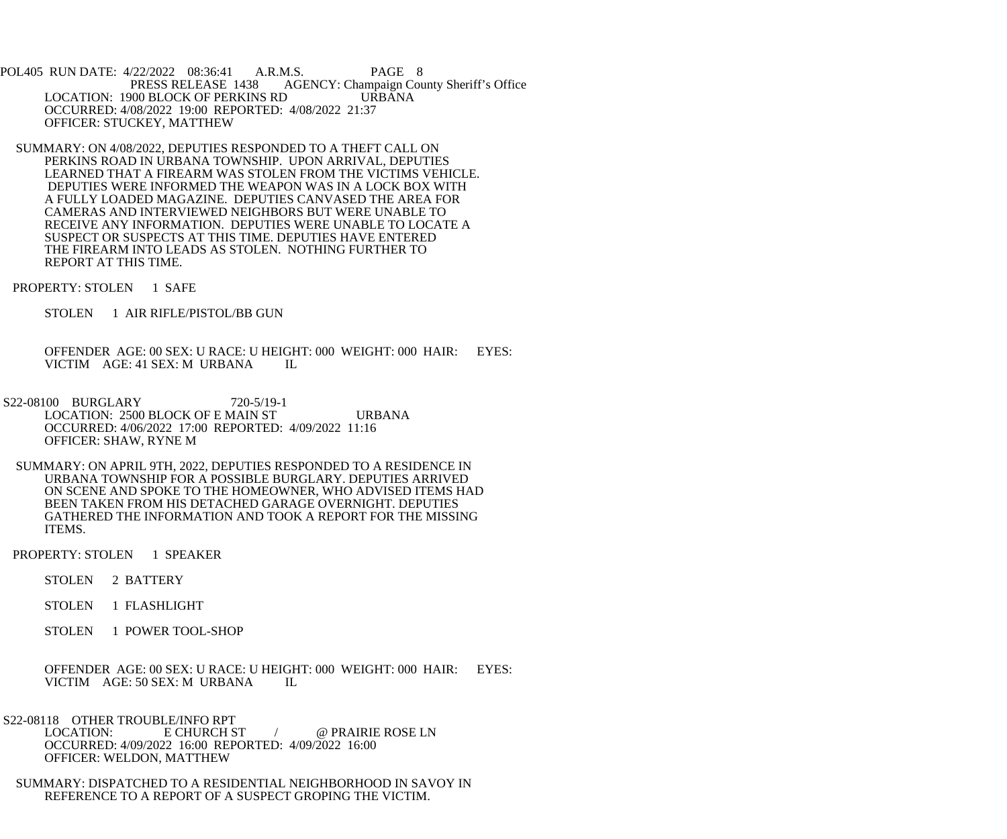POL405 RUN DATE: 4/22/2022 08:36:41 A.R.M.S. PAGE 8<br>PRESS RELEASE 1438 AGENCY: Champaign Cou AGENCY: Champaign County Sheriff's Office LOCATION: 1900 BLOCK OF PERKINS RD URBANA OCCURRED: 4/08/2022 19:00 REPORTED: 4/08/2022 21:37 OFFICER: STUCKEY, MATTHEW

- SUMMARY: ON 4/08/2022, DEPUTIES RESPONDED TO A THEFT CALL ON PERKINS ROAD IN URBANA TOWNSHIP. UPON ARRIVAL, DEPUTIES LEARNED THAT A FIREARM WAS STOLEN FROM THE VICTIMS VEHICLE. DEPUTIES WERE INFORMED THE WEAPON WAS IN A LOCK BOX WITH A FULLY LOADED MAGAZINE. DEPUTIES CANVASED THE AREA FOR CAMERAS AND INTERVIEWED NEIGHBORS BUT WERE UNABLE TO RECEIVE ANY INFORMATION. DEPUTIES WERE UNABLE TO LOCATE A SUSPECT OR SUSPECTS AT THIS TIME. DEPUTIES HAVE ENTERED THE FIREARM INTO LEADS AS STOLEN. NOTHING FURTHER TO REPORT AT THIS TIME.
- PROPERTY: STOLEN 1 SAFE
	- STOLEN 1 AIR RIFLE/PISTOL/BB GUN

 OFFENDER AGE: 00 SEX: U RACE: U HEIGHT: 000 WEIGHT: 000 HAIR: EYES: VICTIM AGE: 41 SEX: M URBANA IL

- S22-08100 BURGLARY 720-5/19-1 LOCATION: 2500 BLOCK OF E MAIN ST URBANA OCCURRED: 4/06/2022 17:00 REPORTED: 4/09/2022 11:16 OFFICER: SHAW, RYNE M
- SUMMARY: ON APRIL 9TH, 2022, DEPUTIES RESPONDED TO A RESIDENCE IN URBANA TOWNSHIP FOR A POSSIBLE BURGLARY. DEPUTIES ARRIVED ON SCENE AND SPOKE TO THE HOMEOWNER, WHO ADVISED ITEMS HAD BEEN TAKEN FROM HIS DETACHED GARAGE OVERNIGHT. DEPUTIES GATHERED THE INFORMATION AND TOOK A REPORT FOR THE MISSING ITEMS.

PROPERTY: STOLEN 1 SPEAKER

- STOLEN 2 BATTERY
- STOLEN 1 FLASHLIGHT
- STOLEN 1 POWER TOOL-SHOP

 OFFENDER AGE: 00 SEX: U RACE: U HEIGHT: 000 WEIGHT: 000 HAIR: EYES: VICTIM AGE: 50 SEX: M URBANA IL

S22-08118 OTHER TROUBLE/INFO RPT<br>LOCATION: E CHURCH ST

/ @ PRAIRIE ROSE LN OCCURRED: 4/09/2022 16:00 REPORTED: 4/09/2022 16:00 OFFICER: WELDON, MATTHEW

 SUMMARY: DISPATCHED TO A RESIDENTIAL NEIGHBORHOOD IN SAVOY IN REFERENCE TO A REPORT OF A SUSPECT GROPING THE VICTIM.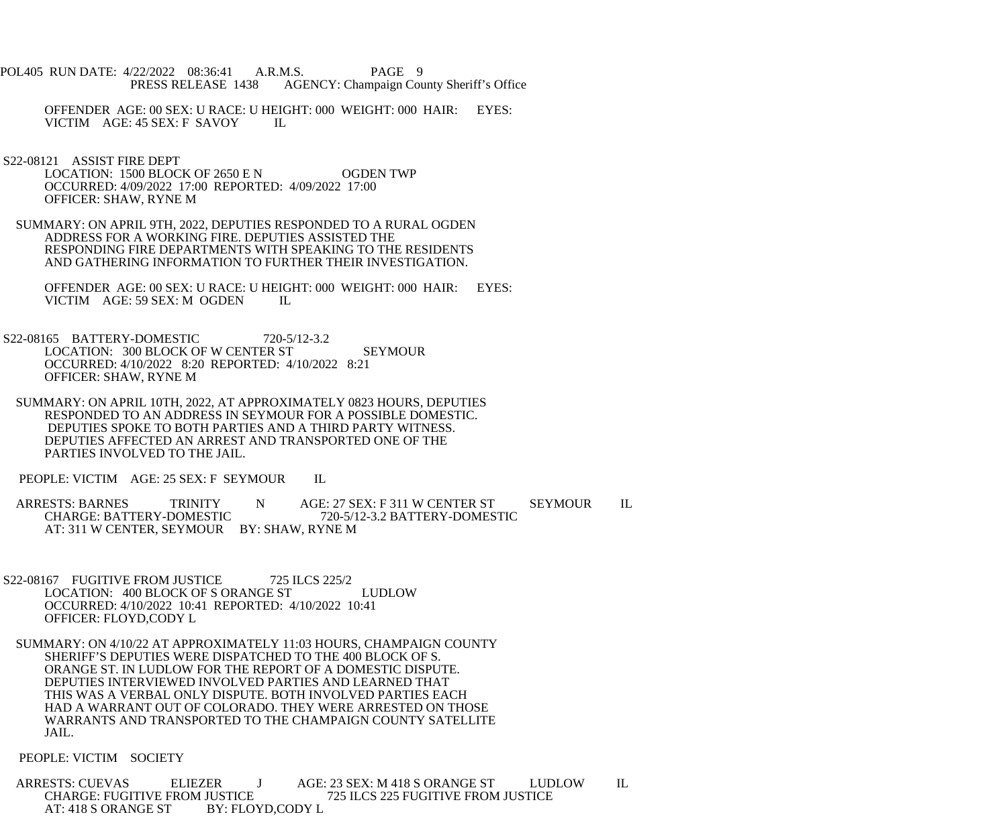- POL405 RUN DATE: 4/22/2022 08:36:41 A.R.M.S. PAGE 9 PRESS RELEASE 1438 AGENCY: Champaign County Sheriff's Office
	- OFFENDER AGE: 00 SEX: U RACE: U HEIGHT: 000 WEIGHT: 000 HAIR: EYES: VICTIM AGE: 45 SEX: F SAVOY IL
- S22-08121 ASSIST FIRE DEPT LOCATION: 1500 BLOCK OF 2650 E N OGDEN TWP OCCURRED: 4/09/2022 17:00 REPORTED: 4/09/2022 17:00 OFFICER: SHAW, RYNE M
- SUMMARY: ON APRIL 9TH, 2022, DEPUTIES RESPONDED TO A RURAL OGDEN ADDRESS FOR A WORKING FIRE. DEPUTIES ASSISTED THE RESPONDING FIRE DEPARTMENTS WITH SPEAKING TO THE RESIDENTS AND GATHERING INFORMATION TO FURTHER THEIR INVESTIGATION.
	- OFFENDER AGE: 00 SEX: U RACE: U HEIGHT: 000 WEIGHT: 000 HAIR: EYES: VICTIM AGE: 59 SEX: M OGDEN IL
- S22-08165 BATTERY-DOMESTIC 720-5/12-3.2 LOCATION: 300 BLOCK OF W CENTER ST SEYMOUR OCCURRED: 4/10/2022 8:20 REPORTED: 4/10/2022 8:21 OFFICER: SHAW, RYNE M
- SUMMARY: ON APRIL 10TH, 2022, AT APPROXIMATELY 0823 HOURS, DEPUTIES RESPONDED TO AN ADDRESS IN SEYMOUR FOR A POSSIBLE DOMESTIC. DEPUTIES SPOKE TO BOTH PARTIES AND A THIRD PARTY WITNESS. DEPUTIES AFFECTED AN ARREST AND TRANSPORTED ONE OF THE PARTIES INVOLVED TO THE JAIL.
- PEOPLE: VICTIM AGE: 25 SEX: F SEYMOUR IL
- ARRESTS: BARNES TRINITY N AGE: 27 SEX: F 311 W CENTER ST SEYMOUR IL<br>CHARGE: BATTERY-DOMESTIC 720-5/12-3.2 BATTERY-DOMESTIC 720-5/12-3.2 BATTERY-DOMESTIC AT: 311 W CENTER, SEYMOUR BY: SHAW, RYNE M
- S22-08167 FUGITIVE FROM JUSTICE 725 ILCS 225/2 LOCATION: 400 BLOCK OF S ORANGE ST LUDLOW OCCURRED: 4/10/2022 10:41 REPORTED: 4/10/2022 10:41 OFFICER: FLOYD,CODY L
- SUMMARY: ON 4/10/22 AT APPROXIMATELY 11:03 HOURS, CHAMPAIGN COUNTY SHERIFF'S DEPUTIES WERE DISPATCHED TO THE 400 BLOCK OF S. ORANGE ST. IN LUDLOW FOR THE REPORT OF A DOMESTIC DISPUTE. DEPUTIES INTERVIEWED INVOLVED PARTIES AND LEARNED THAT THIS WAS A VERBAL ONLY DISPUTE. BOTH INVOLVED PARTIES EACH HAD A WARRANT OUT OF COLORADO. THEY WERE ARRESTED ON THOSE WARRANTS AND TRANSPORTED TO THE CHAMPAIGN COUNTY SATELLITE JAIL.

## PEOPLE: VICTIM SOCIETY

ARRESTS: CUEVAS ELIEZER J AGE: 23 SEX: M 418 S ORANGE ST LUDLOW IL<br>CHARGE: FUGITIVE FROM JUSTICE 725 ILCS 225 FUGITIVE FROM JUSTICE JUSTICE<br>BY: FLOYD,CODY L AT: 418 S ORANGE ST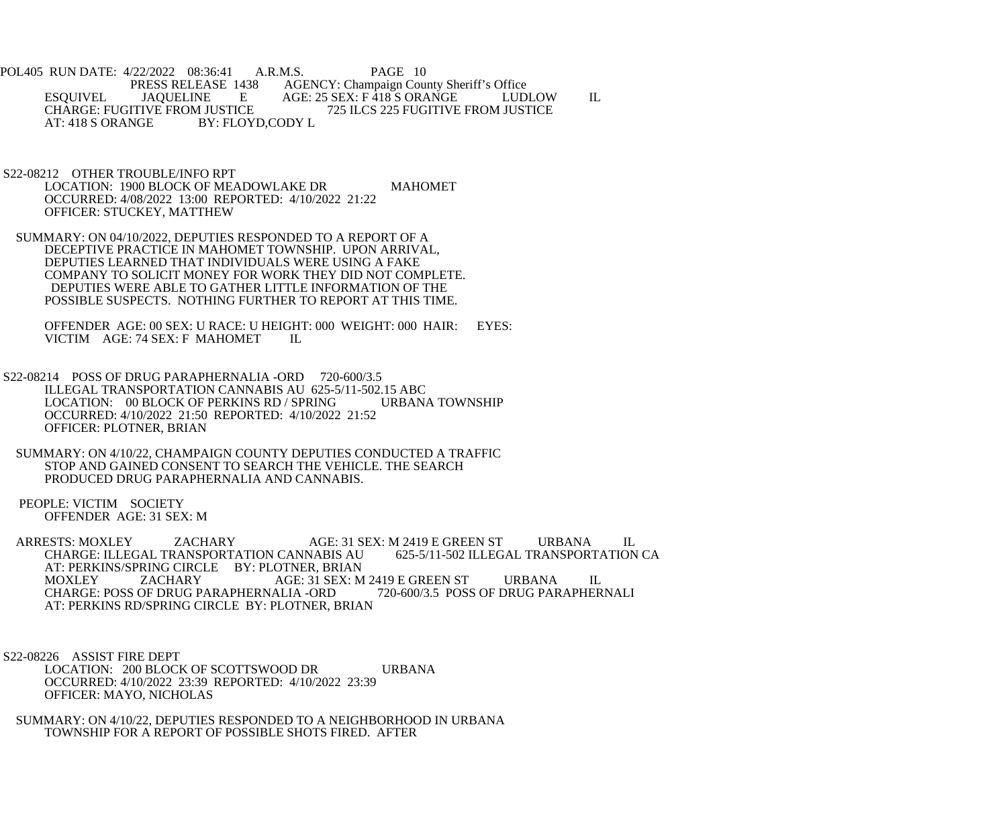POL405 RUN DATE: 4/22/2022 08:36:41 A.R.M.S. PAGE 10<br>PRESS RELEASE 1438 AGENCY: Champaign Cou 1438 AGENCY: Champaign County Sheriff's Office<br>E AGE: 25 SEX: F 418 S ORANGE LUD ESQUIVEL JAQUELINE E AGE: 25 SEX: F 418 S ORANGE LUDLOW IL CHARGE: FUGITIVE FROM JUSTICE<br>AT: 418 S ORANGE BY: FLOYD,CODY L BY: FLOYD,CODY L

- S22-08212 OTHER TROUBLE/INFO RPT LOCATION: 1900 BLOCK OF MEADOWLAKE DR MAHOMET OCCURRED: 4/08/2022 13:00 REPORTED: 4/10/2022 21:22 OFFICER: STUCKEY, MATTHEW
- SUMMARY: ON 04/10/2022, DEPUTIES RESPONDED TO A REPORT OF A DECEPTIVE PRACTICE IN MAHOMET TOWNSHIP. UPON ARRIVAL, DEPUTIES LEARNED THAT INDIVIDUALS WERE USING A FAKE COMPANY TO SOLICIT MONEY FOR WORK THEY DID NOT COMPLETE. DEPUTIES WERE ABLE TO GATHER LITTLE INFORMATION OF THE POSSIBLE SUSPECTS. NOTHING FURTHER TO REPORT AT THIS TIME.

 OFFENDER AGE: 00 SEX: U RACE: U HEIGHT: 000 WEIGHT: 000 HAIR: EYES: VICTIM AGE: 74 SEX: F MAHOMET IL

- S22-08214 POSS OF DRUG PARAPHERNALIA -ORD 720-600/3.5 ILLEGAL TRANSPORTATION CANNABIS AU 625-5/11-502.15 ABC<br>LOCATION: 00 BLOCK OF PERKINS RD / SPRING URBANA TOWNSHIP LOCATION: 00 BLOCK OF PERKINS RD / SPRING OCCURRED: 4/10/2022 21:50 REPORTED: 4/10/2022 21:52 OFFICER: PLOTNER, BRIAN
- SUMMARY: ON 4/10/22, CHAMPAIGN COUNTY DEPUTIES CONDUCTED A TRAFFIC STOP AND GAINED CONSENT TO SEARCH THE VEHICLE. THE SEARCH PRODUCED DRUG PARAPHERNALIA AND CANNABIS.
- PEOPLE: VICTIM SOCIETY OFFENDER AGE: 31 SEX: M
- ARRESTS: MOXLEY ZACHARY AGE: 31 SEX: M 2419 E GREEN ST URBANA IL CHARGE: ILLEGAL TRANSPORTATION CANNABIS AU AT: PERKINS/SPRING CIRCLE BY: PLOTNER, BRIAN<br>MOXLEY ZACHARY AGE: 31 SEX: M MOXLEY ZACHARY AGE: 31 SEX: M 2419 E GREEN ST URBANA IL CHARGE: POSS OF DRUG PARAPHERNALIA -ORD AT: PERKINS RD/SPRING CIRCLE BY: PLOTNER, BRIAN

 S22-08226 ASSIST FIRE DEPT LOCATION: 200 BLOCK OF SCOTTSWOOD DR URBANA OCCURRED: 4/10/2022 23:39 REPORTED: 4/10/2022 23:39 OFFICER: MAYO, NICHOLAS

 SUMMARY: ON 4/10/22, DEPUTIES RESPONDED TO A NEIGHBORHOOD IN URBANA TOWNSHIP FOR A REPORT OF POSSIBLE SHOTS FIRED. AFTER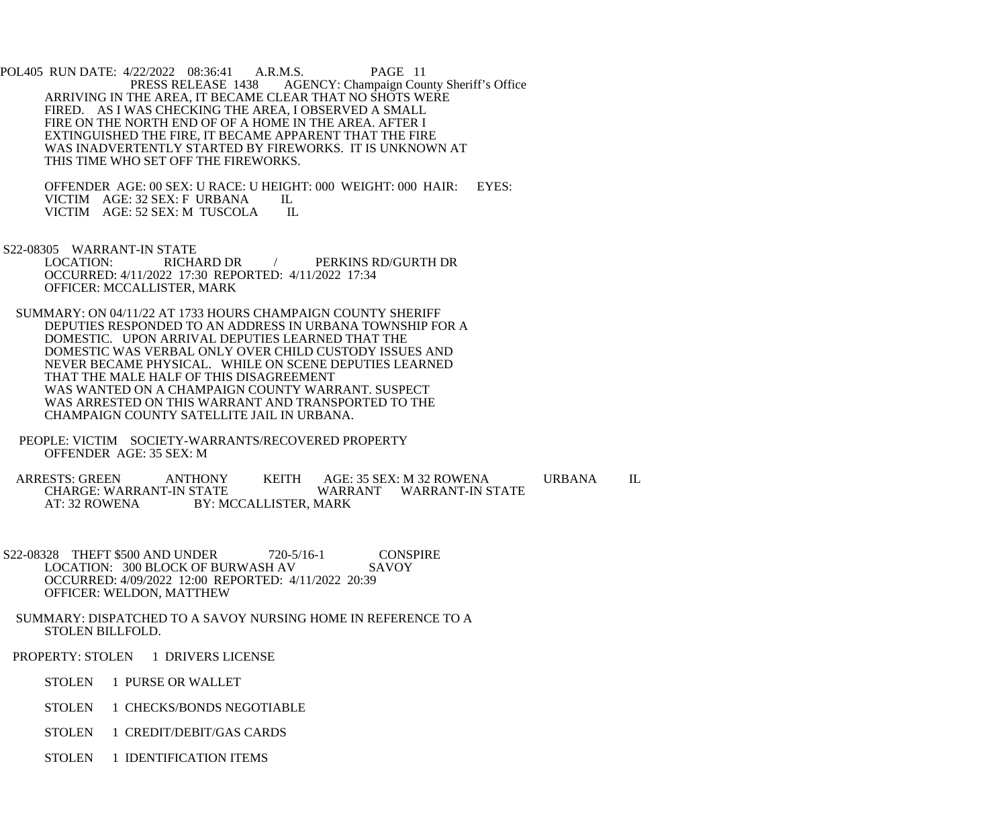POL405 RUN DATE: 4/22/2022 08:36:41 A.R.M.S. PAGE 11<br>PRESS RELEASE 1438 AGENCY: Champaign Cou AGENCY: Champaign County Sheriff's Office ARRIVING IN THE AREA, IT BECAME CLEAR THAT NO SHOTS WERE FIRED. AS I WAS CHECKING THE AREA, I OBSERVED A SMALL FIRE ON THE NORTH END OF OF A HOME IN THE AREA. AFTER I EXTINGUISHED THE FIRE, IT BECAME APPARENT THAT THE FIRE WAS INADVERTENTLY STARTED BY FIREWORKS. IT IS UNKNOWN AT THIS TIME WHO SET OFF THE FIREWORKS.

 OFFENDER AGE: 00 SEX: U RACE: U HEIGHT: 000 WEIGHT: 000 HAIR: EYES: VICTIM AGE: 32 SEX: F URBANA IL<br>VICTIM AGE: 52 SEX: M TUSCOLA IL VICTIM AGE: 52 SEX: M TUSCOLA

S22-08305 WARRANT-IN STATE<br>LOCATION: RICHARD DR / PERKINS RD/GURTH DR OCCURRED: 4/11/2022 17:30 REPORTED: 4/11/2022 17:34 OFFICER: MCCALLISTER, MARK

 SUMMARY: ON 04/11/22 AT 1733 HOURS CHAMPAIGN COUNTY SHERIFF DEPUTIES RESPONDED TO AN ADDRESS IN URBANA TOWNSHIP FOR A DOMESTIC. UPON ARRIVAL DEPUTIES LEARNED THAT THE DOMESTIC WAS VERBAL ONLY OVER CHILD CUSTODY ISSUES AND NEVER BECAME PHYSICAL. WHILE ON SCENE DEPUTIES LEARNED THAT THE MALE HALF OF THIS DISAGREEMENT WAS WANTED ON A CHAMPAIGN COUNTY WARRANT. SUSPECT WAS ARRESTED ON THIS WARRANT AND TRANSPORTED TO THE CHAMPAIGN COUNTY SATELLITE JAIL IN URBANA.

 PEOPLE: VICTIM SOCIETY-WARRANTS/RECOVERED PROPERTY OFFENDER AGE: 35 SEX: M

ARRESTS: GREEN ANTHONY KEITH AGE: 35 SEX: M 32 ROWENA URBANA IL CHARGE: WARRANT WARRANT WARRANT-IN STATE WARRANT WARRANT-IN STATE AT: 32 ROWENA BY: MCCALLISTER, MARK

 S22-08328 THEFT \$500 AND UNDER 720-5/16-1 CONSPIRE LOCATION: 300 BLOCK OF BURWASH AV SAVOY OCCURRED: 4/09/2022 12:00 REPORTED: 4/11/2022 20:39 OFFICER: WELDON, MATTHEW

 SUMMARY: DISPATCHED TO A SAVOY NURSING HOME IN REFERENCE TO A STOLEN BILLFOLD.

PROPERTY: STOLEN 1 DRIVERS LICENSE

STOLEN 1 PURSE OR WALLET

STOLEN 1 CHECKS/BONDS NEGOTIABLE

STOLEN 1 CREDIT/DEBIT/GAS CARDS

STOLEN 1 IDENTIFICATION ITEMS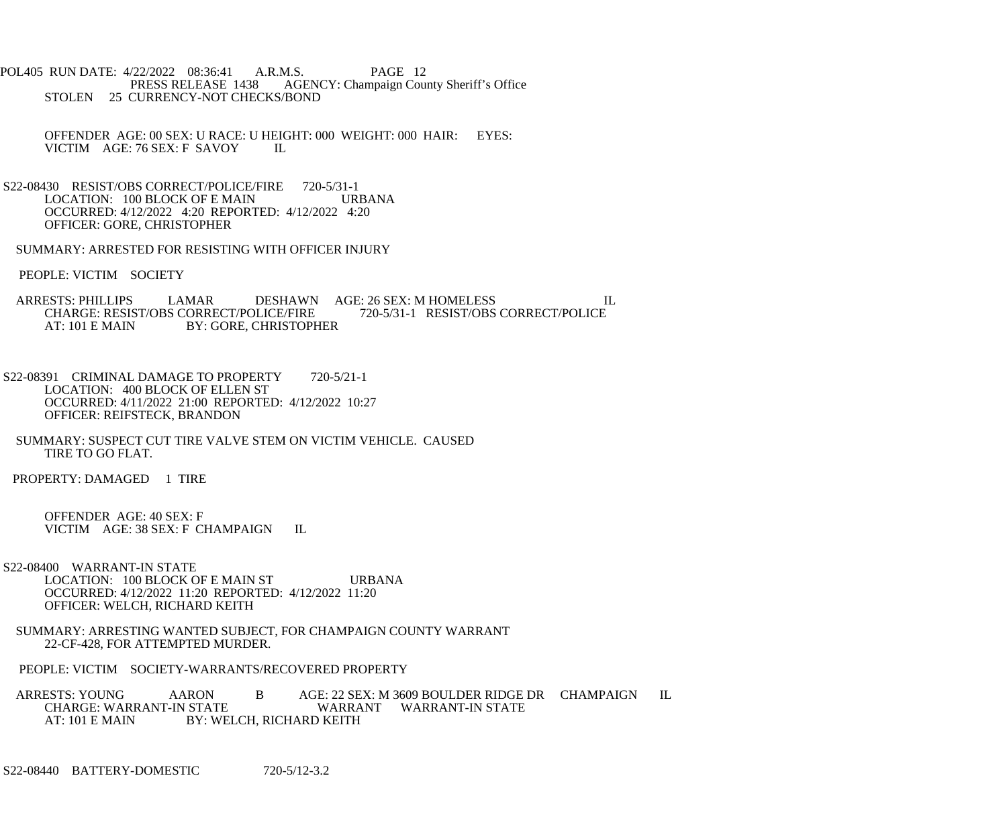POL405 RUN DATE: 4/22/2022 08:36:41 A.R.M.S. PAGE 12<br>PRESS RELEASE 1438 AGENCY: Champaign Cou AGENCY: Champaign County Sheriff's Office STOLEN 25 CURRENCY-NOT CHECKS/BOND

 OFFENDER AGE: 00 SEX: U RACE: U HEIGHT: 000 WEIGHT: 000 HAIR: EYES: VICTIM AGE: 76 SEX: F SAVOY IL

- S22-08430 RESIST/OBS CORRECT/POLICE/FIRE 720-5/31-1<br>LOCATION: 100 BLOCK OF E MAIN URBANA LOCATION: 100 BLOCK OF E MAIN OCCURRED: 4/12/2022 4:20 REPORTED: 4/12/2022 4:20 OFFICER: GORE, CHRISTOPHER
- SUMMARY: ARRESTED FOR RESISTING WITH OFFICER INJURY
- PEOPLE: VICTIM SOCIETY
- ARRESTS: PHILLIPS LAMAR DESHAWN AGE: 26 SEX: M HOMELESS ULL CHARGE: RESIST/OBS CORRECT/POLICE/FIRE 720-5/31-1 RESIST/OBS CORRECT/POLICE CHARGE: RESIST/OBS CORRECT/POLICE/FIRE<br>AT: 101 E MAIN BY: GORE, CHRISTOPH **BY: GORE, CHRISTOPHER**
- S22-08391 CRIMINAL DAMAGE TO PROPERTY 720-5/21-1 LOCATION: 400 BLOCK OF ELLEN ST OCCURRED: 4/11/2022 21:00 REPORTED: 4/12/2022 10:27 OFFICER: REIFSTECK, BRANDON
- SUMMARY: SUSPECT CUT TIRE VALVE STEM ON VICTIM VEHICLE. CAUSED TIRE TO GO FLAT.
- PROPERTY: DAMAGED 1 TIRE

 OFFENDER AGE: 40 SEX: F VICTIM AGE: 38 SEX: F CHAMPAIGN IL

- S22-08400 WARRANT-IN STATE LOCATION: 100 BLOCK OF E MAIN ST URBANA OCCURRED: 4/12/2022 11:20 REPORTED: 4/12/2022 11:20 OFFICER: WELCH, RICHARD KEITH
- SUMMARY: ARRESTING WANTED SUBJECT, FOR CHAMPAIGN COUNTY WARRANT 22-CF-428, FOR ATTEMPTED MURDER.

PEOPLE: VICTIM SOCIETY-WARRANTS/RECOVERED PROPERTY

ARRESTS: YOUNG AARON B AGE: 22 SEX: M 3609 BOULDER RIDGE DR CHAMPAIGN IL CHARGE: WARRANT-IN STATE WARRANT WARRANT-IN STATE<br>AT: 101 E MAIN BY: WELCH, RICHARD KEITH BY: WELCH, RICHARD KEITH

S22-08440 BATTERY-DOMESTIC 720-5/12-3.2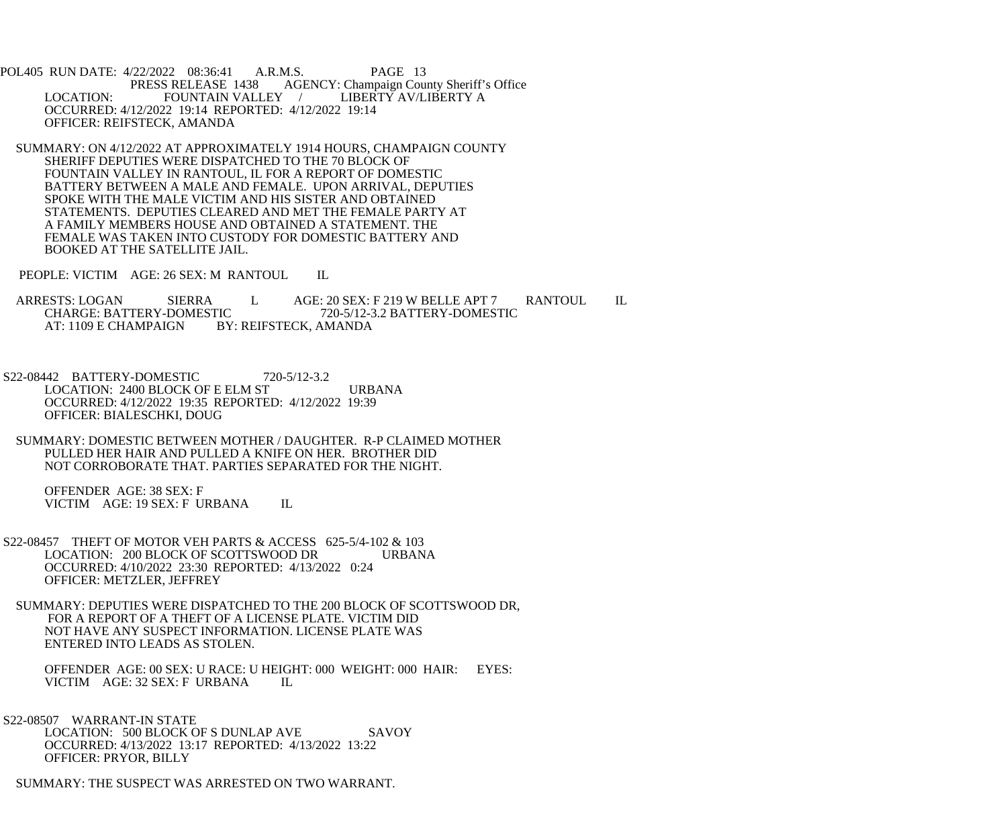POL405 RUN DATE: 4/22/2022 08:36:41 A.R.M.S. PAGE 13<br>PRESS RELEASE 1438 AGENCY: Champaign Cou S RELEASE 1438 AGENCY: Champaign County Sheriff's Office<br>FOUNTAIN VALLEY / LIBERTY AV/LIBERTY A LOCATION: FOUNTAIN VALLEY / LIBERTY AV/LIBERTY A OCCURRED: 4/12/2022 19:14 REPORTED: 4/12/2022 19:14 OFFICER: REIFSTECK, AMANDA

 SUMMARY: ON 4/12/2022 AT APPROXIMATELY 1914 HOURS, CHAMPAIGN COUNTY SHERIFF DEPUTIES WERE DISPATCHED TO THE 70 BLOCK OF FOUNTAIN VALLEY IN RANTOUL, IL FOR A REPORT OF DOMESTIC BATTERY BETWEEN A MALE AND FEMALE. UPON ARRIVAL, DEPUTIES SPOKE WITH THE MALE VICTIM AND HIS SISTER AND OBTAINED STATEMENTS. DEPUTIES CLEARED AND MET THE FEMALE PARTY AT A FAMILY MEMBERS HOUSE AND OBTAINED A STATEMENT. THE FEMALE WAS TAKEN INTO CUSTODY FOR DOMESTIC BATTERY AND BOOKED AT THE SATELLITE JAIL.

PEOPLE: VICTIM AGE: 26 SEX: M RANTOUL IL

ARRESTS: LOGAN SIERRA L AGE: 20 SEX: F 219 W BELLE APT 7 RANTOUL IL CHARGE: BATTERY-DOMESTIC 720-5/12-3.2 BATTERY-DOMESTIC CHARGE: BATTERY-DOMESTIC 720-5/12-3.2 BATTERY-DOMESTIC<br>AT: 1109 E CHAMPAIGN BY: REIFSTECK, AMANDA BY: REIFSTECK, AMANDA

 S22-08442 BATTERY-DOMESTIC 720-5/12-3.2 LOCATION: 2400 BLOCK OF E ELM ST URBANA OCCURRED: 4/12/2022 19:35 REPORTED: 4/12/2022 19:39 OFFICER: BIALESCHKI, DOUG

 SUMMARY: DOMESTIC BETWEEN MOTHER / DAUGHTER. R-P CLAIMED MOTHER PULLED HER HAIR AND PULLED A KNIFE ON HER. BROTHER DID NOT CORROBORATE THAT. PARTIES SEPARATED FOR THE NIGHT.

 OFFENDER AGE: 38 SEX: F VICTIM AGE: 19 SEX: F URBANA IL

 S22-08457 THEFT OF MOTOR VEH PARTS & ACCESS 625-5/4-102 & 103 LOCATION: 200 BLOCK OF SCOTTSWOOD DR URBANA OCCURRED: 4/10/2022 23:30 REPORTED: 4/13/2022 0:24 OFFICER: METZLER, JEFFREY

 SUMMARY: DEPUTIES WERE DISPATCHED TO THE 200 BLOCK OF SCOTTSWOOD DR, FOR A REPORT OF A THEFT OF A LICENSE PLATE. VICTIM DID NOT HAVE ANY SUSPECT INFORMATION. LICENSE PLATE WAS ENTERED INTO LEADS AS STOLEN.

 OFFENDER AGE: 00 SEX: U RACE: U HEIGHT: 000 WEIGHT: 000 HAIR: EYES: VICTIM AGE: 32 SEX: F URBANA IL

 S22-08507 WARRANT-IN STATE LOCATION: 500 BLOCK OF S DUNLAP AVE SAVOY OCCURRED: 4/13/2022 13:17 REPORTED: 4/13/2022 13:22 OFFICER: PRYOR, BILLY

SUMMARY: THE SUSPECT WAS ARRESTED ON TWO WARRANT.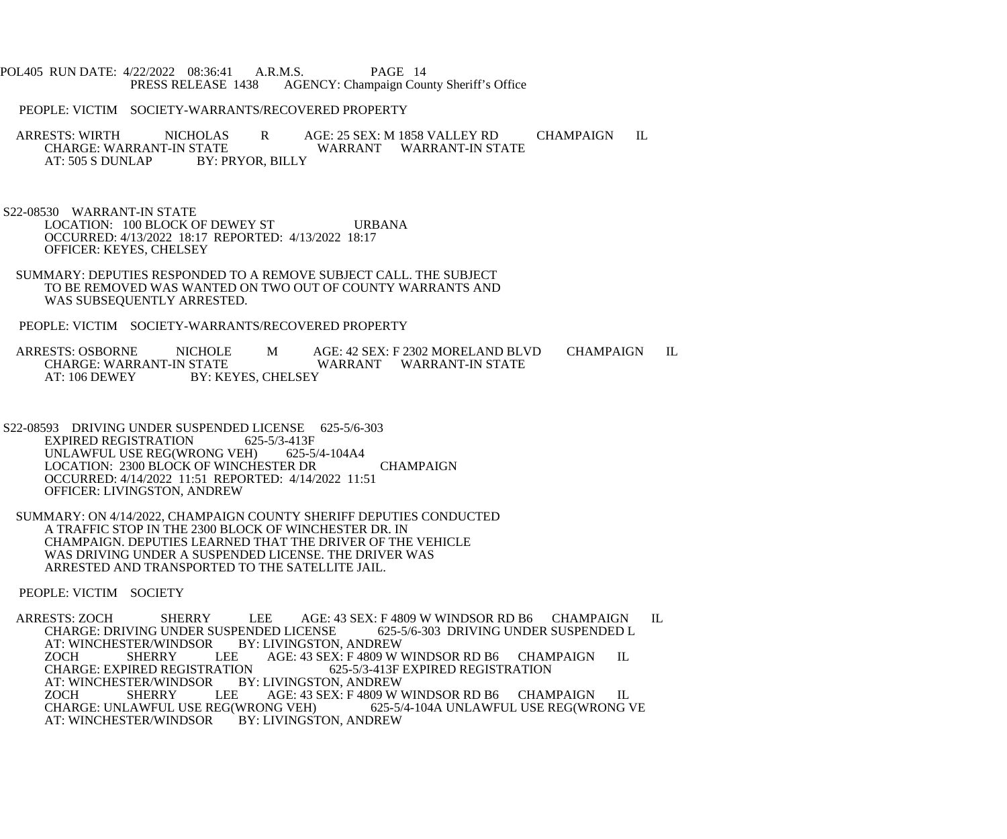## POL405 RUN DATE: 4/22/2022 08:36:41 A.R.M.S. PAGE 14<br>PRESS RELEASE 1438 AGENCY: Champaign Cou AGENCY: Champaign County Sheriff's Office

## PEOPLE: VICTIM SOCIETY-WARRANTS/RECOVERED PROPERTY

ARRESTS: WIRTH NICHOLAS R AGE: 25 SEX: M 1858 VALLEY RD CHAMPAIGN IL CHARGE: WARRANT WARRANT WARRANT-IN STATE CHARGE: WARRANT-IN STATE WARRANT WARRANT-IN STATE<br>AT: 505 S DUNLAP BY: PRYOR. BILLY BY: PRYOR, BILLY

 S22-08530 WARRANT-IN STATE LOCATION: 100 BLOCK OF DEWEY ST URBANA OCCURRED: 4/13/2022 18:17 REPORTED: 4/13/2022 18:17 OFFICER: KEYES, CHELSEY

 SUMMARY: DEPUTIES RESPONDED TO A REMOVE SUBJECT CALL. THE SUBJECT TO BE REMOVED WAS WANTED ON TWO OUT OF COUNTY WARRANTS AND WAS SUBSEQUENTLY ARRESTED.

PEOPLE: VICTIM SOCIETY-WARRANTS/RECOVERED PROPERTY

ARRESTS: OSBORNE NICHOLE M AGE: 42 SEX: F 2302 MORELAND BLVD CHAMPAIGN IL<br>CHARGE: WARRANT-IN STATE WARRANT WARRANT-IN STATE WARRANT WARRANT-IN STATE AT: 106 DEWEY BY: KEYES, CHELSEY

 S22-08593 DRIVING UNDER SUSPENDED LICENSE 625-5/6-303 EXPIRED REGISTRATION 625-5/3-413F<br>UNLAWFUL USE REG(WRONG VEH) 625-5/4-104A4 UNLAWFUL USE REG(WRONG VEH) LOCATION: 2300 BLOCK OF WINCHESTER DR CHAMPAIGN OCCURRED: 4/14/2022 11:51 REPORTED: 4/14/2022 11:51 OFFICER: LIVINGSTON, ANDREW

 SUMMARY: ON 4/14/2022, CHAMPAIGN COUNTY SHERIFF DEPUTIES CONDUCTED A TRAFFIC STOP IN THE 2300 BLOCK OF WINCHESTER DR. IN CHAMPAIGN. DEPUTIES LEARNED THAT THE DRIVER OF THE VEHICLE WAS DRIVING UNDER A SUSPENDED LICENSE. THE DRIVER WAS ARRESTED AND TRANSPORTED TO THE SATELLITE JAIL.

PEOPLE: VICTIM SOCIETY

ARRESTS: ZOCH SHERRY LEE AGE: 43 SEX: F 4809 W WINDSOR RD B6 CHAMPAIGN IL<br>CHARGE: DRIVING UNDER SUSPENDED LICENSE 625-5/6-303 DRIVING UNDER SUSPENDED L CHARGE: DRIVING UNDER SUSPENDED LICENSE 625-5<br>AT: WINCHESTER/WINDSOR BY: LIVINGSTON, ANDREW AT: WINCHESTER/WINDSOR BY: LEE ZOCH SHERRY LEE AGE: 43 SEX: F 4809 W WINDSOR RD B6 CHAMPAIGN IL<br>CHARGE: EXPIRED REGISTRATION 625-5/3-413F EXPIRED REGISTRATION ON 625-5/3-413F EXPIRED REGISTRATION BY: LIVINGSTON, ANDREW AT: WINCHESTER/WINDSOR BY: LIVINGSTON, ANDREW ZOCH SHERRY LEE AGE: 43 SEX: F 4809 W WINDSOR RD B6 CHAMPAIGN IL CHARGE: UNLAWFUL USE REG(WRONG VEH) 625-5/4-104A UNLAWFUL USE REG(WRONG V WRONG VEH) 625-5/4-104A UNLAWFUL USE REG(WRONG VEH) 625-5/4-104A UNLAWFUL USE REG(WRONG VE AT: WINCHESTER/WINDSOR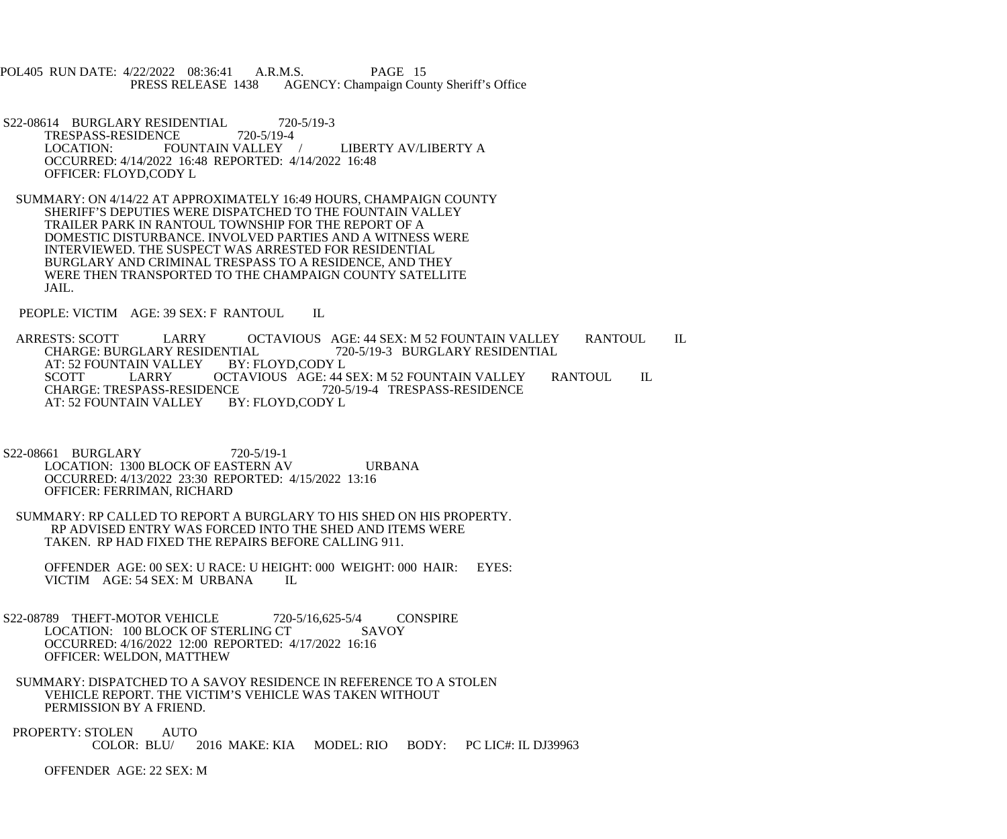POL405 RUN DATE: 4/22/2022 08:36:41 A.R.M.S. PAGE 15 PRESS RELEASE 1438 AGENCY: Champaign County Sheriff's Office

- S22-08614 BURGLARY RESIDENTIAL 720-5/19-3<br>TRESPASS-RESIDENCE 720-5/19-4 TRESPASS-RESIDENCE<br>LOCATION: FO FOUNTAIN VALLEY / LIBERTY AV/LIBERTY A OCCURRED: 4/14/2022 16:48 REPORTED: 4/14/2022 16:48 OFFICER: FLOYD,CODY L
- SUMMARY: ON 4/14/22 AT APPROXIMATELY 16:49 HOURS, CHAMPAIGN COUNTY SHERIFF'S DEPUTIES WERE DISPATCHED TO THE FOUNTAIN VALLEY TRAILER PARK IN RANTOUL TOWNSHIP FOR THE REPORT OF A DOMESTIC DISTURBANCE. INVOLVED PARTIES AND A WITNESS WERE INTERVIEWED. THE SUSPECT WAS ARRESTED FOR RESIDENTIAL BURGLARY AND CRIMINAL TRESPASS TO A RESIDENCE, AND THEY WERE THEN TRANSPORTED TO THE CHAMPAIGN COUNTY SATELLITE JAIL.

PEOPLE: VICTIM AGE: 39 SEX: F RANTOUL IL

ARRESTS: SCOTT LARRY OCTAVIOUS AGE: 44 SEX: M 52 FOUNTAIN VALLEY RANTOUL IL<br>CHARGE: BURGLARY RESIDENTIAL 720-5/19-3 BURGLARY RESIDENTIAL VIAL 720-5/19-3 BURGLARY RESIDENTIAL<br>BY: FLOYD,CODY L AT: 52 FOUNTAIN VALLEY SCOTT LARRY OCTAVIOUS AGE: 44 SEX: M 52 FOUNTAIN VALLEY RANTOUL IL CHARGE: TRESPASS-RESIDENCE 720-5/19-4 TRESPASS-RESIDENCE CE<br>BY: FLOYD,CODY L<br>EXECTION L AT: 52 FOUNTAIN VALLEY

- S22-08661 BURGLARY 720-5/19-1 LOCATION: 1300 BLOCK OF EASTERN AV URBANA OCCURRED: 4/13/2022 23:30 REPORTED: 4/15/2022 13:16 OFFICER: FERRIMAN, RICHARD
- SUMMARY: RP CALLED TO REPORT A BURGLARY TO HIS SHED ON HIS PROPERTY. RP ADVISED ENTRY WAS FORCED INTO THE SHED AND ITEMS WERE TAKEN. RP HAD FIXED THE REPAIRS BEFORE CALLING 911.
	- OFFENDER AGE: 00 SEX: U RACE: U HEIGHT: 000 WEIGHT: 000 HAIR: EYES: VICTIM AGE: 54 SEX: M URBANA IL
- S22-08789 THEFT-MOTOR VEHICLE 720-5/16,625-5/4 CONSPIRE<br>LOCATION: 100 BLOCK OF STERLING CT SAVOY LOCATION: 100 BLOCK OF STERLING CT OCCURRED: 4/16/2022 12:00 REPORTED: 4/17/2022 16:16 OFFICER: WELDON, MATTHEW
- SUMMARY: DISPATCHED TO A SAVOY RESIDENCE IN REFERENCE TO A STOLEN VEHICLE REPORT. THE VICTIM'S VEHICLE WAS TAKEN WITHOUT PERMISSION BY A FRIEND.
- PROPERTY: STOLEN AUTO<br>COLOR: BLU/ 2016 MAKE: KIA MODEL: RIO BODY: PC LIC#: IL DJ39963

OFFENDER AGE: 22 SEX: M